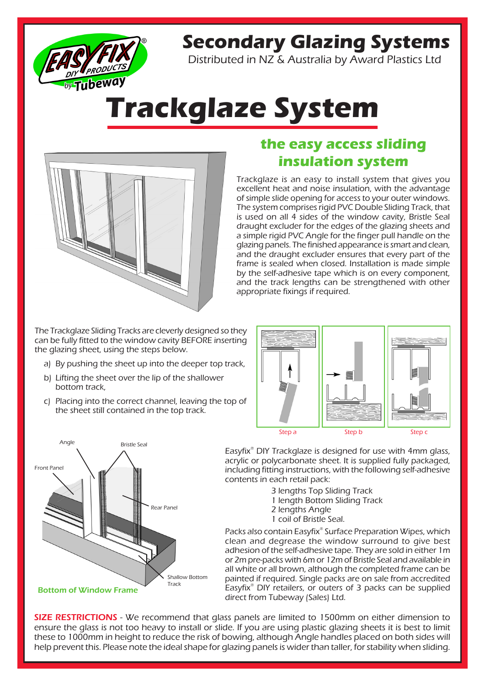

## **Secondary Glazing Systems**

Distributed in NZ & Australia by Award Plastics Ltd

# **Trackglaze System**



### **the easy access sliding insulation system**

Trackglaze is an easy to install system that gives you excellent heat and noise insulation, with the advantage of simple slide opening for access to your outer windows. The system comprises rigid PVC Double Sliding Track, that is used on all 4 sides of the window cavity, Bristle Seal draught excluder for the edges of the glazing sheets and a simple rigid PVC Angle for the finger pull handle on the glazing panels. The finished appearance is smart and clean, and the draught excluder ensures that every part of the frame is sealed when closed. Installation is made simple by the self-adhesive tape which is on every component, and the track lengths can be strengthened with other appropriate fixings if required.

The Trackglaze Sliding Tracks are cleverly designed so they can be fully fitted to the window cavity BEFORE inserting the glazing sheet, using the steps below.

- a) By pushing the sheet up into the deeper top track,
- b) Lifting the sheet over the lip of the shallower bottom track,
- c) Placing into the correct channel, leaving the top of the sheet still contained in the top track.





Easyfix® DIY Trackglaze is designed for use with 4mm glass, acrylic or polycarbonate sheet. It is supplied fully packaged, including fitting instructions, with the following self-adhesive contents in each retail pack:

- 3 lengths Top Sliding Track
- 1 length Bottom Sliding Track
- 2 lengths Angle
- 1 coil of Bristle Seal.

Packs also contain Easyfix® Surface Preparation Wipes, which clean and degrease the window surround to give best adhesion of the self-adhesive tape. They are sold in either 1m or 2m pre-packs with 6m or 12m of Bristle Seal and available in all white or all brown, although the completed frame can be painted if required. Single packs are on sale from accredited Easyfix® DIY retailers, or outers of 3 packs can be supplied direct from Tubeway (Sales) Ltd.

**SIZE RESTRICTIONS** - We recommend that glass panels are limited to 1500mm on either dimension to ensure the glass is not too heavy to install or slide. If you are using plastic glazing sheets it is best to limit these to 1000mm in height to reduce the risk of bowing, although Angle handles placed on both sides will help prevent this. Please note the ideal shape for glazing panels is wider than taller, for stability when sliding.